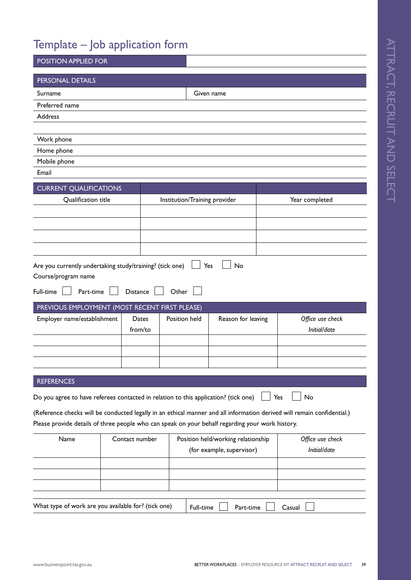# Template – Job application form

| POSITION APPLIED FOR                                                                                                    |                                                                                  |                               |            |                           |                |                  |  |
|-------------------------------------------------------------------------------------------------------------------------|----------------------------------------------------------------------------------|-------------------------------|------------|---------------------------|----------------|------------------|--|
| PERSONAL DETAILS                                                                                                        |                                                                                  |                               |            |                           |                |                  |  |
| Surname                                                                                                                 |                                                                                  |                               | Given name |                           |                |                  |  |
| Preferred name                                                                                                          |                                                                                  |                               |            |                           |                |                  |  |
| Address                                                                                                                 |                                                                                  |                               |            |                           |                |                  |  |
|                                                                                                                         |                                                                                  |                               |            |                           |                |                  |  |
| Work phone                                                                                                              |                                                                                  |                               |            |                           |                |                  |  |
| Home phone                                                                                                              |                                                                                  |                               |            |                           |                |                  |  |
| Mobile phone<br>Email                                                                                                   |                                                                                  |                               |            |                           |                |                  |  |
|                                                                                                                         |                                                                                  |                               |            |                           |                |                  |  |
| <b>CURRENT QUALIFICATIONS</b>                                                                                           |                                                                                  |                               |            |                           |                |                  |  |
| Qualification title                                                                                                     |                                                                                  | Institution/Training provider |            |                           | Year completed |                  |  |
|                                                                                                                         |                                                                                  |                               |            |                           |                |                  |  |
|                                                                                                                         |                                                                                  |                               |            |                           |                |                  |  |
|                                                                                                                         |                                                                                  |                               |            |                           |                |                  |  |
|                                                                                                                         |                                                                                  |                               |            |                           |                |                  |  |
| Are you currently undertaking study/training? (tick one)                                                                |                                                                                  |                               | Yes        | No                        |                |                  |  |
| Course/program name                                                                                                     |                                                                                  |                               |            |                           |                |                  |  |
| Full-time<br>Part-time                                                                                                  | <b>Distance</b>                                                                  | Other                         |            |                           |                |                  |  |
| PREVIOUS EMPLOYMENT (MOST RECENT FIRST PLEASE)                                                                          |                                                                                  |                               |            |                           |                |                  |  |
| Employer name/establishment                                                                                             | Dates                                                                            | Position held                 |            | Reason for leaving        |                | Office use check |  |
| from/to                                                                                                                 |                                                                                  |                               |            |                           |                | Initial/date     |  |
|                                                                                                                         |                                                                                  |                               |            |                           |                |                  |  |
|                                                                                                                         |                                                                                  |                               |            |                           |                |                  |  |
|                                                                                                                         |                                                                                  |                               |            |                           |                |                  |  |
| <b>REFERENCES</b>                                                                                                       |                                                                                  |                               |            |                           |                |                  |  |
|                                                                                                                         |                                                                                  |                               |            |                           |                | No               |  |
| Do you agree to have referees contacted in relation to this application? (tick one)                                     |                                                                                  |                               |            |                           |                | Yes              |  |
| (Reference checks will be conducted legally in an ethical manner and all information derived will remain confidential.) |                                                                                  |                               |            |                           |                |                  |  |
| Please provide details of three people who can speak on your behalf regarding your work history.                        |                                                                                  |                               |            |                           |                |                  |  |
|                                                                                                                         | Name<br>Contact number<br>Office use check<br>Position held/working relationship |                               |            |                           |                |                  |  |
|                                                                                                                         |                                                                                  |                               |            |                           |                |                  |  |
|                                                                                                                         |                                                                                  |                               |            | (for example, supervisor) |                | Initial/date     |  |
|                                                                                                                         |                                                                                  |                               |            |                           |                |                  |  |
|                                                                                                                         |                                                                                  |                               |            |                           |                |                  |  |
|                                                                                                                         |                                                                                  |                               |            |                           |                |                  |  |